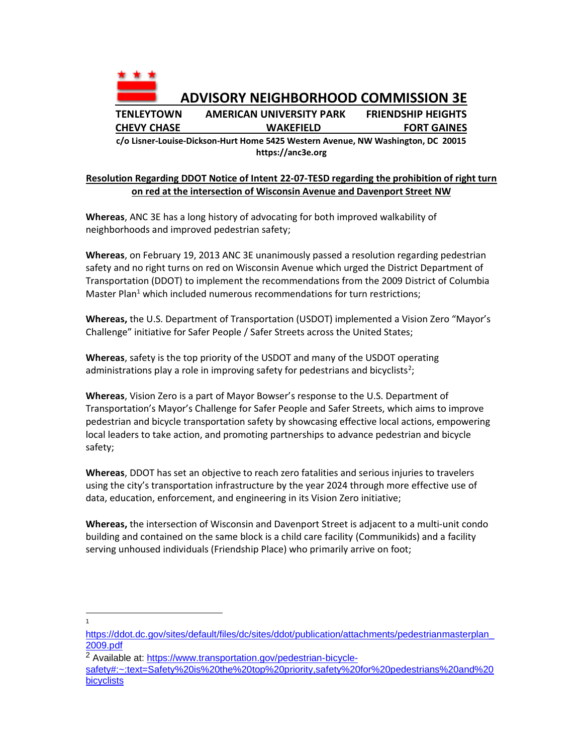

**https://anc3e.org**

## **Resolution Regarding DDOT Notice of Intent 22-07-TESD regarding the prohibition of right turn on red at the intersection of Wisconsin Avenue and Davenport Street NW**

**Whereas**, ANC 3E has a long history of advocating for both improved walkability of neighborhoods and improved pedestrian safety;

**Whereas**, on February 19, 2013 ANC 3E unanimously passed a resolution regarding pedestrian safety and no right turns on red on Wisconsin Avenue which urged the District Department of Transportation (DDOT) to implement the recommendations from the 2009 District of Columbia Master Plan<sup>1</sup> which included numerous recommendations for turn restrictions;

**Whereas,** the U.S. Department of Transportation (USDOT) implemented a Vision Zero "Mayor's Challenge" initiative for Safer People / Safer Streets across the United States;

**Whereas**, safety is the top priority of the USDOT and many of the USDOT operating administrations play a role in improving safety for pedestrians and bicyclists<sup>2</sup>;

**Whereas**, Vision Zero is a part of Mayor Bowser's response to the U.S. Department of Transportation's Mayor's Challenge for Safer People and Safer Streets, which aims to improve pedestrian and bicycle transportation safety by showcasing effective local actions, empowering local leaders to take action, and promoting partnerships to advance pedestrian and bicycle safety;

**Whereas**, DDOT has set an objective to reach zero fatalities and serious injuries to travelers using the city's transportation infrastructure by the year 2024 through more effective use of data, education, enforcement, and engineering in its Vision Zero initiative;

**Whereas,** the intersection of Wisconsin and Davenport Street is adjacent to a multi-unit condo building and contained on the same block is a child care facility (Communikids) and a facility serving unhoused individuals (Friendship Place) who primarily arrive on foot;

1

[https://ddot.dc.gov/sites/default/files/dc/sites/ddot/publication/attachments/pedestrianmasterplan\\_](https://ddot.dc.gov/sites/default/files/dc/sites/ddot/publication/attachments/pedestrianmasterplan_2009.pdf) [2009.pdf](https://ddot.dc.gov/sites/default/files/dc/sites/ddot/publication/attachments/pedestrianmasterplan_2009.pdf)

<sup>&</sup>lt;sup>2</sup> Available at: [https://www.transportation.gov/pedestrian-bicycle-](https://www.transportation.gov/pedestrian-bicycle-safety#:~:text=Safety%20is%20the%20top%20priority,safety%20for%20pedestrians%20and%20bicyclists)

[safety#:~:text=Safety%20is%20the%20top%20priority,safety%20for%20pedestrians%20and%20](https://www.transportation.gov/pedestrian-bicycle-safety#:~:text=Safety%20is%20the%20top%20priority,safety%20for%20pedestrians%20and%20bicyclists) **[bicyclists](https://www.transportation.gov/pedestrian-bicycle-safety#:~:text=Safety%20is%20the%20top%20priority,safety%20for%20pedestrians%20and%20bicyclists)**